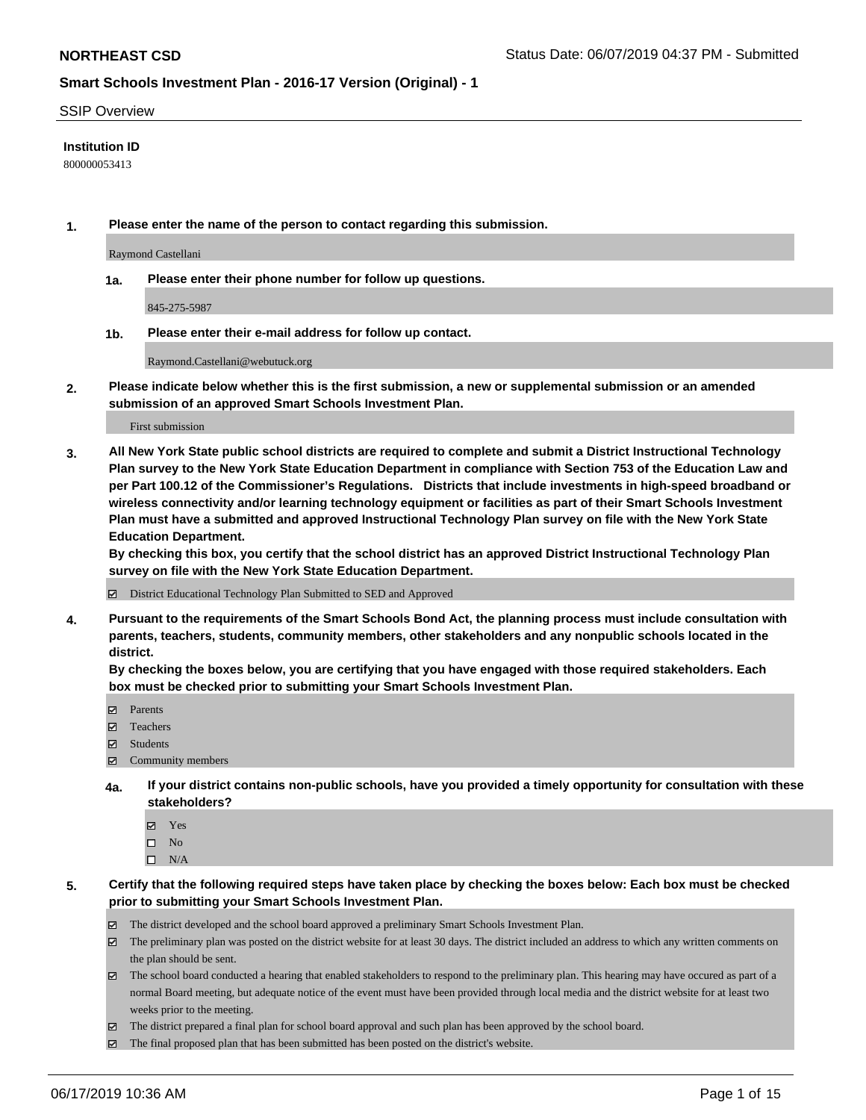#### SSIP Overview

#### **Institution ID**

800000053413

**1. Please enter the name of the person to contact regarding this submission.**

Raymond Castellani

**1a. Please enter their phone number for follow up questions.**

845-275-5987

**1b. Please enter their e-mail address for follow up contact.**

Raymond.Castellani@webutuck.org

**2. Please indicate below whether this is the first submission, a new or supplemental submission or an amended submission of an approved Smart Schools Investment Plan.**

First submission

**3. All New York State public school districts are required to complete and submit a District Instructional Technology Plan survey to the New York State Education Department in compliance with Section 753 of the Education Law and per Part 100.12 of the Commissioner's Regulations. Districts that include investments in high-speed broadband or wireless connectivity and/or learning technology equipment or facilities as part of their Smart Schools Investment Plan must have a submitted and approved Instructional Technology Plan survey on file with the New York State Education Department.** 

**By checking this box, you certify that the school district has an approved District Instructional Technology Plan survey on file with the New York State Education Department.**

District Educational Technology Plan Submitted to SED and Approved

**4. Pursuant to the requirements of the Smart Schools Bond Act, the planning process must include consultation with parents, teachers, students, community members, other stakeholders and any nonpublic schools located in the district.** 

**By checking the boxes below, you are certifying that you have engaged with those required stakeholders. Each box must be checked prior to submitting your Smart Schools Investment Plan.**

- Parents
- Teachers
- Students
- Community members
- **4a. If your district contains non-public schools, have you provided a timely opportunity for consultation with these stakeholders?**
	- Yes
	- $\square$  No
	- $\square$  N/A

**5. Certify that the following required steps have taken place by checking the boxes below: Each box must be checked prior to submitting your Smart Schools Investment Plan.**

- The district developed and the school board approved a preliminary Smart Schools Investment Plan.
- $\boxtimes$  The preliminary plan was posted on the district website for at least 30 days. The district included an address to which any written comments on the plan should be sent.
- $\boxtimes$  The school board conducted a hearing that enabled stakeholders to respond to the preliminary plan. This hearing may have occured as part of a normal Board meeting, but adequate notice of the event must have been provided through local media and the district website for at least two weeks prior to the meeting.
- The district prepared a final plan for school board approval and such plan has been approved by the school board.
- $\boxtimes$  The final proposed plan that has been submitted has been posted on the district's website.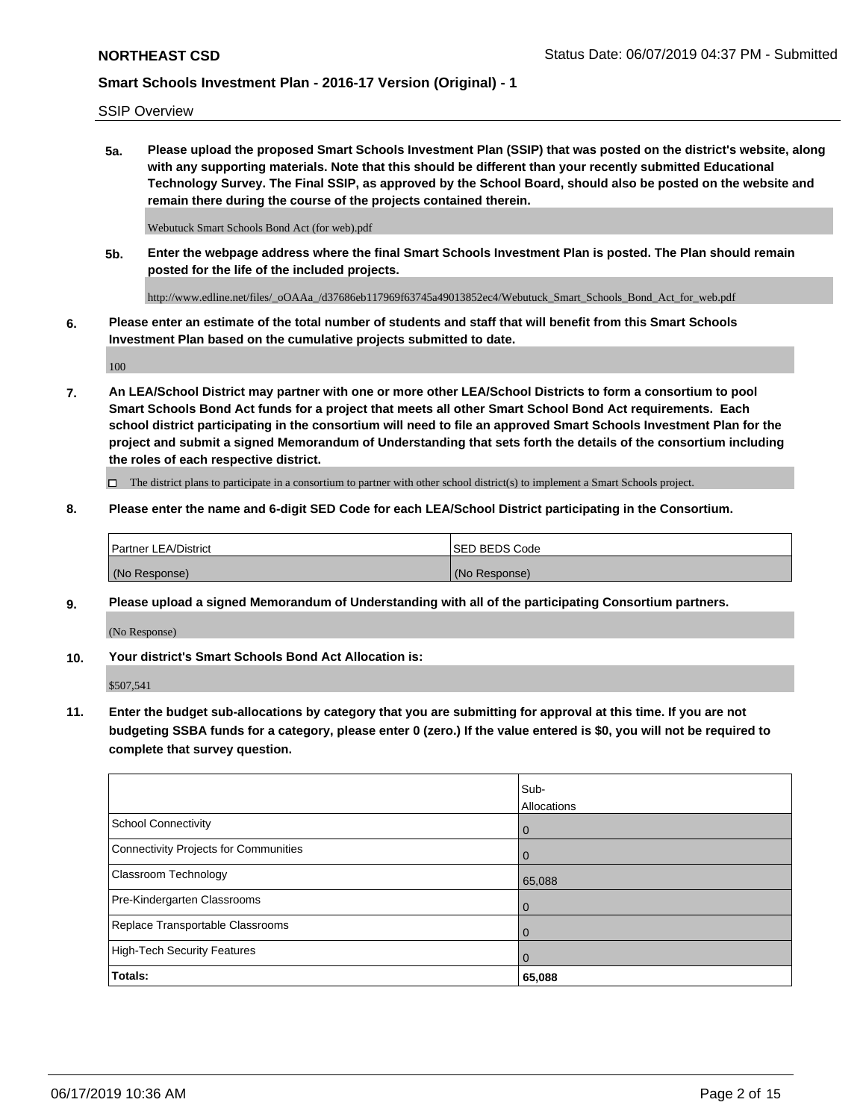SSIP Overview

**5a. Please upload the proposed Smart Schools Investment Plan (SSIP) that was posted on the district's website, along with any supporting materials. Note that this should be different than your recently submitted Educational Technology Survey. The Final SSIP, as approved by the School Board, should also be posted on the website and remain there during the course of the projects contained therein.**

Webutuck Smart Schools Bond Act (for web).pdf

**5b. Enter the webpage address where the final Smart Schools Investment Plan is posted. The Plan should remain posted for the life of the included projects.**

http://www.edline.net/files/\_oOAAa\_/d37686eb117969f63745a49013852ec4/Webutuck\_Smart\_Schools\_Bond\_Act\_for\_web.pdf

**6. Please enter an estimate of the total number of students and staff that will benefit from this Smart Schools Investment Plan based on the cumulative projects submitted to date.**

100

**7. An LEA/School District may partner with one or more other LEA/School Districts to form a consortium to pool Smart Schools Bond Act funds for a project that meets all other Smart School Bond Act requirements. Each school district participating in the consortium will need to file an approved Smart Schools Investment Plan for the project and submit a signed Memorandum of Understanding that sets forth the details of the consortium including the roles of each respective district.**

 $\Box$  The district plans to participate in a consortium to partner with other school district(s) to implement a Smart Schools project.

### **8. Please enter the name and 6-digit SED Code for each LEA/School District participating in the Consortium.**

| <b>Partner LEA/District</b> | <b>ISED BEDS Code</b> |
|-----------------------------|-----------------------|
| (No Response)               | (No Response)         |

#### **9. Please upload a signed Memorandum of Understanding with all of the participating Consortium partners.**

(No Response)

**10. Your district's Smart Schools Bond Act Allocation is:**

\$507,541

**11. Enter the budget sub-allocations by category that you are submitting for approval at this time. If you are not budgeting SSBA funds for a category, please enter 0 (zero.) If the value entered is \$0, you will not be required to complete that survey question.**

|                                       | Sub-        |
|---------------------------------------|-------------|
|                                       | Allocations |
| <b>School Connectivity</b>            | $\mathbf 0$ |
| Connectivity Projects for Communities | $\Omega$    |
| <b>Classroom Technology</b>           | 65,088      |
| Pre-Kindergarten Classrooms           | $\Omega$    |
| Replace Transportable Classrooms      | $\Omega$    |
| High-Tech Security Features           | $\Omega$    |
| Totals:                               | 65,088      |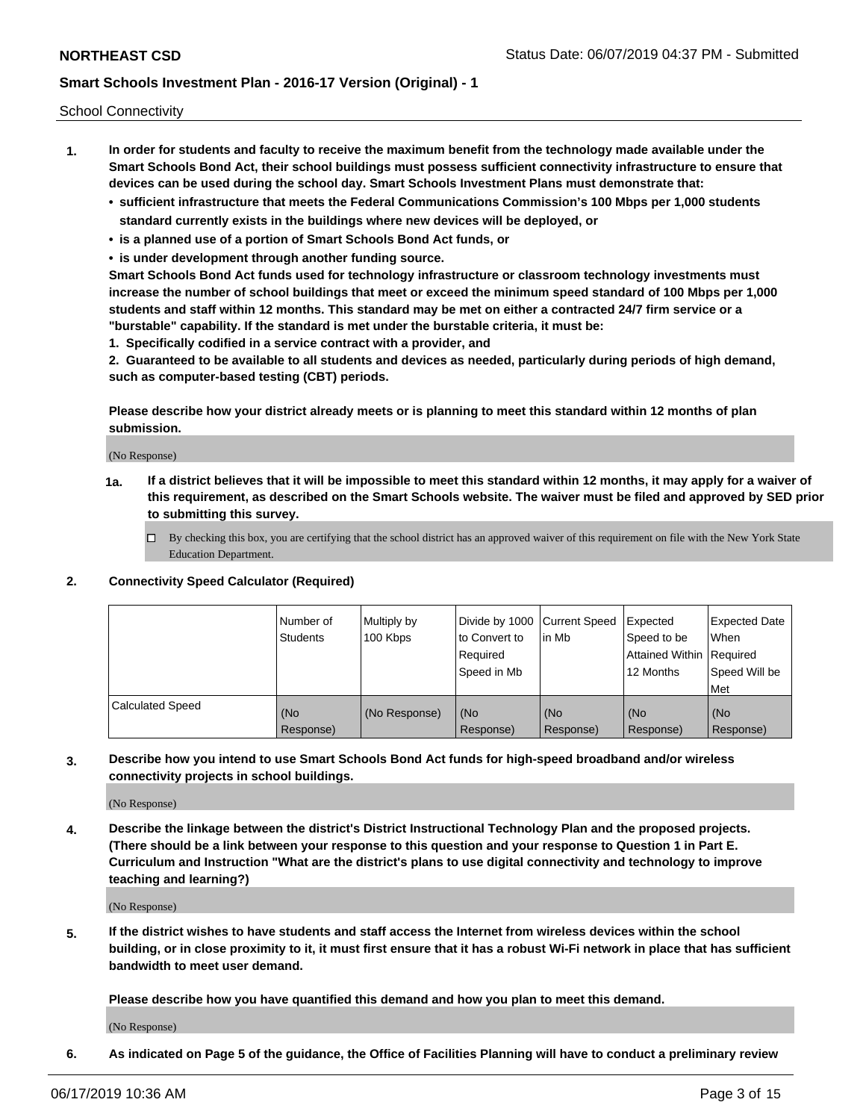School Connectivity

- **1. In order for students and faculty to receive the maximum benefit from the technology made available under the Smart Schools Bond Act, their school buildings must possess sufficient connectivity infrastructure to ensure that devices can be used during the school day. Smart Schools Investment Plans must demonstrate that:**
	- **• sufficient infrastructure that meets the Federal Communications Commission's 100 Mbps per 1,000 students standard currently exists in the buildings where new devices will be deployed, or**
	- **• is a planned use of a portion of Smart Schools Bond Act funds, or**
	- **• is under development through another funding source.**

**Smart Schools Bond Act funds used for technology infrastructure or classroom technology investments must increase the number of school buildings that meet or exceed the minimum speed standard of 100 Mbps per 1,000 students and staff within 12 months. This standard may be met on either a contracted 24/7 firm service or a "burstable" capability. If the standard is met under the burstable criteria, it must be:**

**1. Specifically codified in a service contract with a provider, and**

**2. Guaranteed to be available to all students and devices as needed, particularly during periods of high demand, such as computer-based testing (CBT) periods.**

**Please describe how your district already meets or is planning to meet this standard within 12 months of plan submission.**

(No Response)

**1a. If a district believes that it will be impossible to meet this standard within 12 months, it may apply for a waiver of this requirement, as described on the Smart Schools website. The waiver must be filed and approved by SED prior to submitting this survey.**

 $\Box$  By checking this box, you are certifying that the school district has an approved waiver of this requirement on file with the New York State Education Department.

#### **2. Connectivity Speed Calculator (Required)**

|                         | Number of<br>Students | Multiply by<br>100 Kbps | Divide by 1000 Current Speed<br>to Convert to<br>Required<br>Speed in Mb | lin Mb           | Expected<br>Speed to be<br>Attained Within   Required<br>12 Months | <b>Expected Date</b><br>When<br>Speed Will be<br><b>Met</b> |
|-------------------------|-----------------------|-------------------------|--------------------------------------------------------------------------|------------------|--------------------------------------------------------------------|-------------------------------------------------------------|
| <b>Calculated Speed</b> | (No<br>Response)      | (No Response)           | (No<br>Response)                                                         | (No<br>Response) | (No<br>Response)                                                   | (No<br>Response)                                            |

**3. Describe how you intend to use Smart Schools Bond Act funds for high-speed broadband and/or wireless connectivity projects in school buildings.**

(No Response)

**4. Describe the linkage between the district's District Instructional Technology Plan and the proposed projects. (There should be a link between your response to this question and your response to Question 1 in Part E. Curriculum and Instruction "What are the district's plans to use digital connectivity and technology to improve teaching and learning?)**

(No Response)

**5. If the district wishes to have students and staff access the Internet from wireless devices within the school building, or in close proximity to it, it must first ensure that it has a robust Wi-Fi network in place that has sufficient bandwidth to meet user demand.**

**Please describe how you have quantified this demand and how you plan to meet this demand.**

(No Response)

**6. As indicated on Page 5 of the guidance, the Office of Facilities Planning will have to conduct a preliminary review**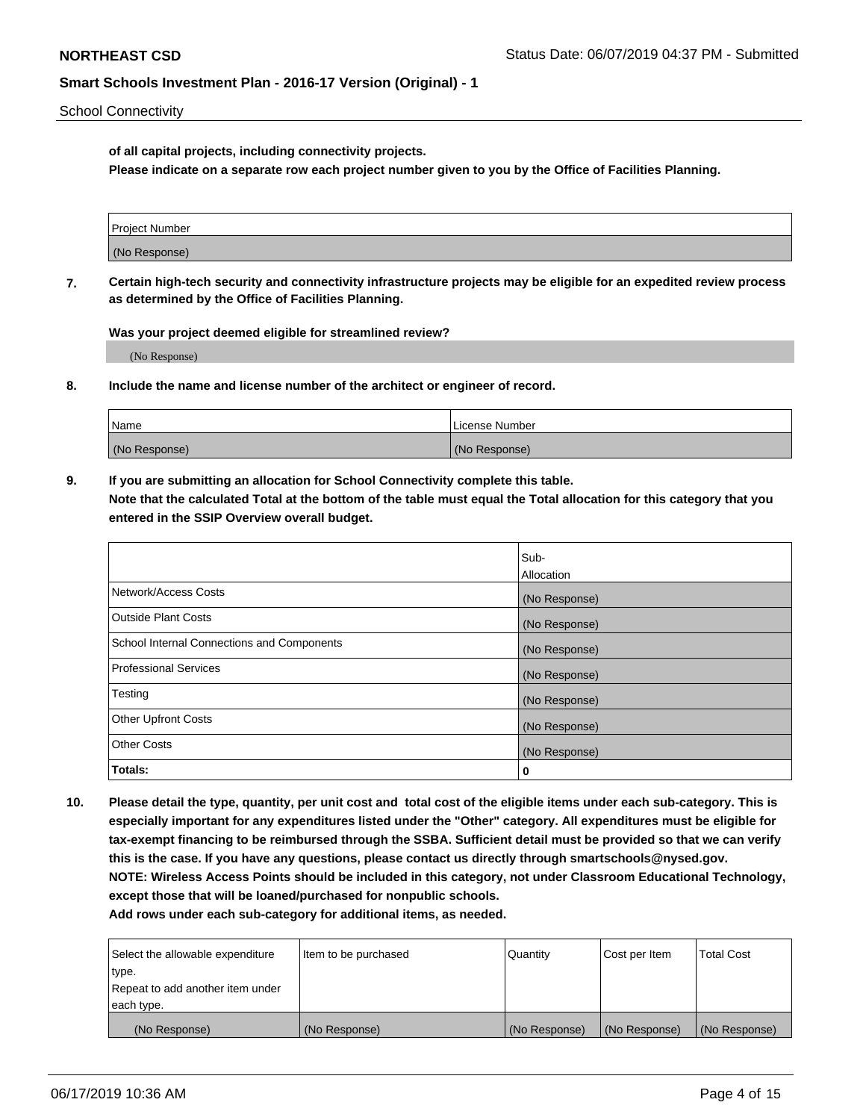School Connectivity

**of all capital projects, including connectivity projects.**

**Please indicate on a separate row each project number given to you by the Office of Facilities Planning.**

| Project Number |  |
|----------------|--|
|                |  |
| (No Response)  |  |
|                |  |

**7. Certain high-tech security and connectivity infrastructure projects may be eligible for an expedited review process as determined by the Office of Facilities Planning.**

**Was your project deemed eligible for streamlined review?**

(No Response)

**8. Include the name and license number of the architect or engineer of record.**

| Name          | License Number |
|---------------|----------------|
| (No Response) | (No Response)  |

**9. If you are submitting an allocation for School Connectivity complete this table. Note that the calculated Total at the bottom of the table must equal the Total allocation for this category that you entered in the SSIP Overview overall budget.** 

|                                            | Sub-          |
|--------------------------------------------|---------------|
|                                            | Allocation    |
| Network/Access Costs                       | (No Response) |
| Outside Plant Costs                        | (No Response) |
| School Internal Connections and Components | (No Response) |
| <b>Professional Services</b>               | (No Response) |
| Testing                                    | (No Response) |
| <b>Other Upfront Costs</b>                 | (No Response) |
| <b>Other Costs</b>                         | (No Response) |
| Totals:                                    | 0             |

**10. Please detail the type, quantity, per unit cost and total cost of the eligible items under each sub-category. This is especially important for any expenditures listed under the "Other" category. All expenditures must be eligible for tax-exempt financing to be reimbursed through the SSBA. Sufficient detail must be provided so that we can verify this is the case. If you have any questions, please contact us directly through smartschools@nysed.gov. NOTE: Wireless Access Points should be included in this category, not under Classroom Educational Technology, except those that will be loaned/purchased for nonpublic schools.**

| Select the allowable expenditure | Item to be purchased | Quantity      | <b>Cost per Item</b> | <b>Total Cost</b> |
|----------------------------------|----------------------|---------------|----------------------|-------------------|
| type.                            |                      |               |                      |                   |
| Repeat to add another item under |                      |               |                      |                   |
| each type.                       |                      |               |                      |                   |
| (No Response)                    | (No Response)        | (No Response) | (No Response)        | (No Response)     |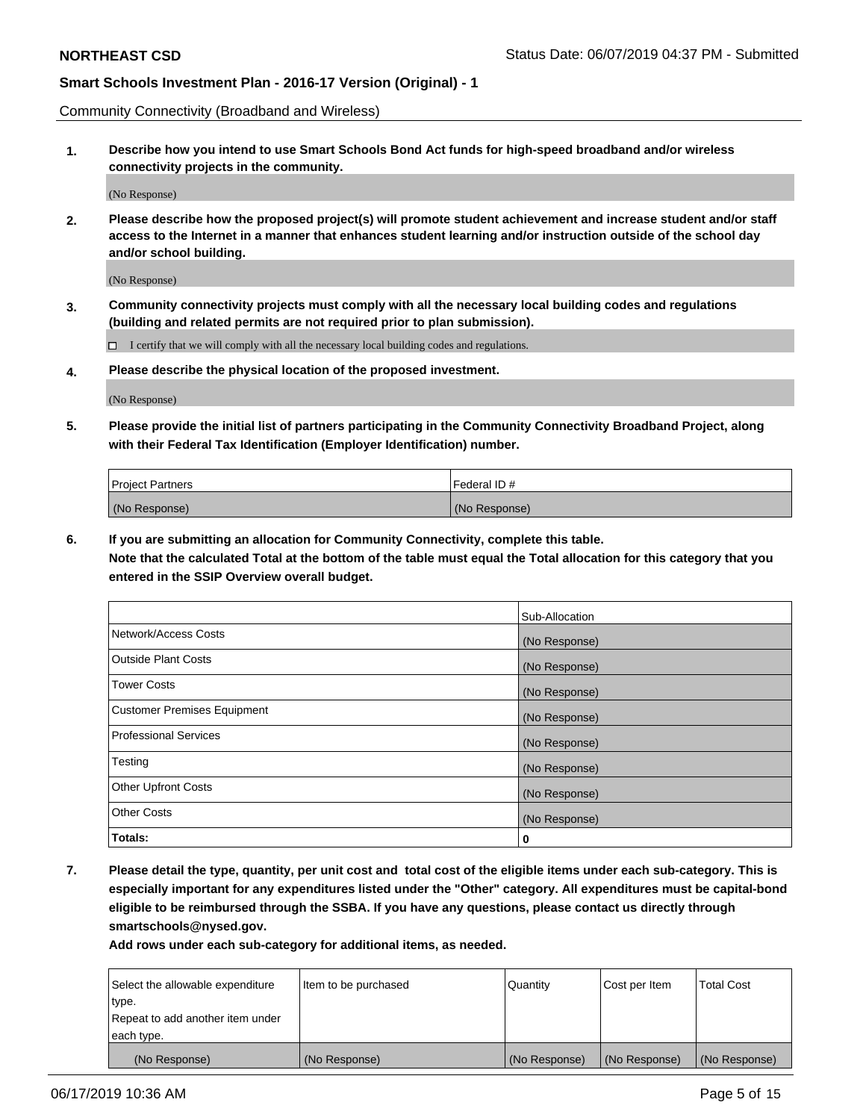Community Connectivity (Broadband and Wireless)

**1. Describe how you intend to use Smart Schools Bond Act funds for high-speed broadband and/or wireless connectivity projects in the community.**

(No Response)

**2. Please describe how the proposed project(s) will promote student achievement and increase student and/or staff access to the Internet in a manner that enhances student learning and/or instruction outside of the school day and/or school building.**

(No Response)

**3. Community connectivity projects must comply with all the necessary local building codes and regulations (building and related permits are not required prior to plan submission).**

 $\Box$  I certify that we will comply with all the necessary local building codes and regulations.

**4. Please describe the physical location of the proposed investment.**

(No Response)

**5. Please provide the initial list of partners participating in the Community Connectivity Broadband Project, along with their Federal Tax Identification (Employer Identification) number.**

| <b>Project Partners</b> | l Federal ID # |
|-------------------------|----------------|
| (No Response)           | (No Response)  |

**6. If you are submitting an allocation for Community Connectivity, complete this table.**

**Note that the calculated Total at the bottom of the table must equal the Total allocation for this category that you entered in the SSIP Overview overall budget.**

|                              | Sub-Allocation |
|------------------------------|----------------|
| Network/Access Costs         | (No Response)  |
| Outside Plant Costs          | (No Response)  |
| <b>Tower Costs</b>           | (No Response)  |
| Customer Premises Equipment  | (No Response)  |
| <b>Professional Services</b> | (No Response)  |
| Testing                      | (No Response)  |
| <b>Other Upfront Costs</b>   | (No Response)  |
| <b>Other Costs</b>           | (No Response)  |
| Totals:                      | 0              |

**7. Please detail the type, quantity, per unit cost and total cost of the eligible items under each sub-category. This is especially important for any expenditures listed under the "Other" category. All expenditures must be capital-bond eligible to be reimbursed through the SSBA. If you have any questions, please contact us directly through smartschools@nysed.gov.**

| Select the allowable expenditure | Item to be purchased | Quantity      | Cost per Item | <b>Total Cost</b> |
|----------------------------------|----------------------|---------------|---------------|-------------------|
| type.                            |                      |               |               |                   |
| Repeat to add another item under |                      |               |               |                   |
| each type.                       |                      |               |               |                   |
| (No Response)                    | (No Response)        | (No Response) | (No Response) | (No Response)     |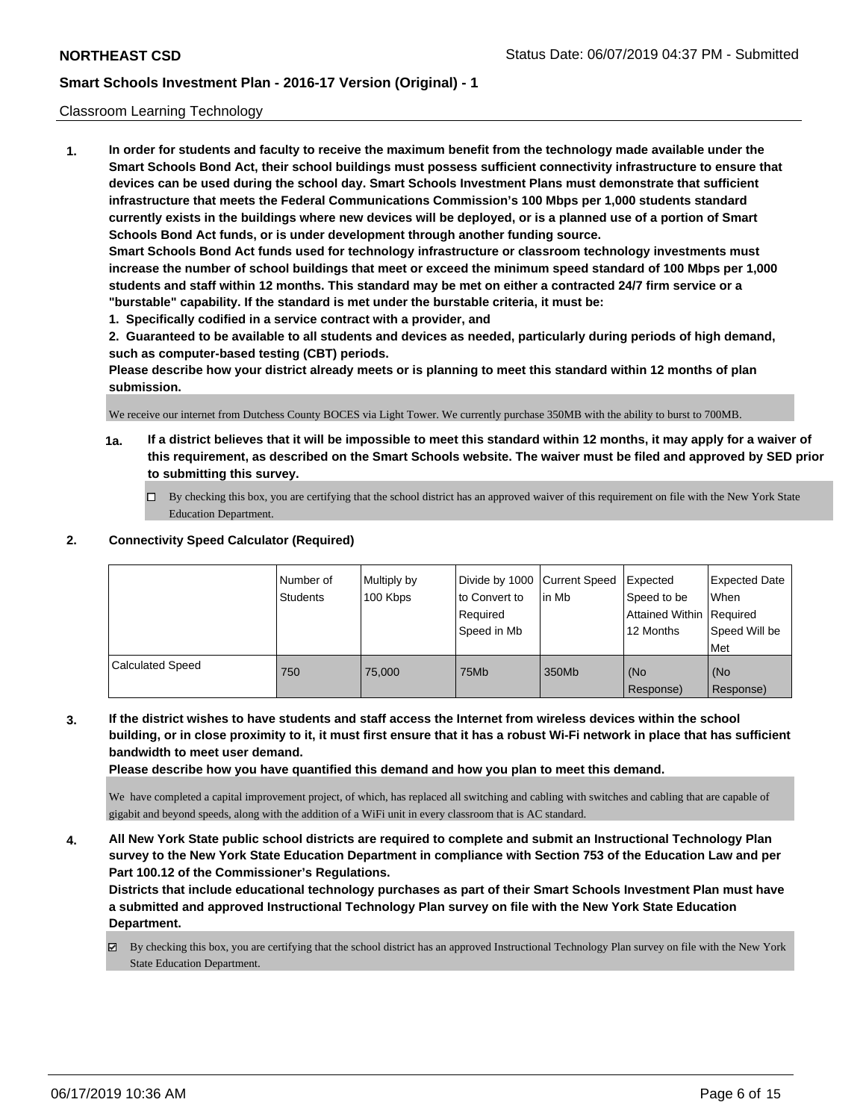#### Classroom Learning Technology

**1. In order for students and faculty to receive the maximum benefit from the technology made available under the Smart Schools Bond Act, their school buildings must possess sufficient connectivity infrastructure to ensure that devices can be used during the school day. Smart Schools Investment Plans must demonstrate that sufficient infrastructure that meets the Federal Communications Commission's 100 Mbps per 1,000 students standard currently exists in the buildings where new devices will be deployed, or is a planned use of a portion of Smart Schools Bond Act funds, or is under development through another funding source. Smart Schools Bond Act funds used for technology infrastructure or classroom technology investments must increase the number of school buildings that meet or exceed the minimum speed standard of 100 Mbps per 1,000 students and staff within 12 months. This standard may be met on either a contracted 24/7 firm service or a "burstable" capability. If the standard is met under the burstable criteria, it must be:**

**1. Specifically codified in a service contract with a provider, and**

**2. Guaranteed to be available to all students and devices as needed, particularly during periods of high demand, such as computer-based testing (CBT) periods.**

**Please describe how your district already meets or is planning to meet this standard within 12 months of plan submission.**

We receive our internet from Dutchess County BOCES via Light Tower. We currently purchase 350MB with the ability to burst to 700MB.

- **1a. If a district believes that it will be impossible to meet this standard within 12 months, it may apply for a waiver of this requirement, as described on the Smart Schools website. The waiver must be filed and approved by SED prior to submitting this survey.**
	- By checking this box, you are certifying that the school district has an approved waiver of this requirement on file with the New York State Education Department.

#### **2. Connectivity Speed Calculator (Required)**

|                         | Number of<br>Students | Multiply by<br>100 Kbps | Divide by 1000   Current Speed<br>to Convert to<br>Required<br>Speed in Mb | l in Mb | Expected<br>Speed to be<br><b>Attained Within Required</b><br>12 Months | <b>Expected Date</b><br>When<br>Speed Will be<br>Met |
|-------------------------|-----------------------|-------------------------|----------------------------------------------------------------------------|---------|-------------------------------------------------------------------------|------------------------------------------------------|
| <b>Calculated Speed</b> | 750                   | 75.000                  | 75Mb                                                                       | 350Mb   | l (No<br>Response)                                                      | (No<br>Response)                                     |

**3. If the district wishes to have students and staff access the Internet from wireless devices within the school building, or in close proximity to it, it must first ensure that it has a robust Wi-Fi network in place that has sufficient bandwidth to meet user demand.**

**Please describe how you have quantified this demand and how you plan to meet this demand.**

We have completed a capital improvement project, of which, has replaced all switching and cabling with switches and cabling that are capable of gigabit and beyond speeds, along with the addition of a WiFi unit in every classroom that is AC standard.

**4. All New York State public school districts are required to complete and submit an Instructional Technology Plan survey to the New York State Education Department in compliance with Section 753 of the Education Law and per Part 100.12 of the Commissioner's Regulations.**

**Districts that include educational technology purchases as part of their Smart Schools Investment Plan must have a submitted and approved Instructional Technology Plan survey on file with the New York State Education Department.**

By checking this box, you are certifying that the school district has an approved Instructional Technology Plan survey on file with the New York State Education Department.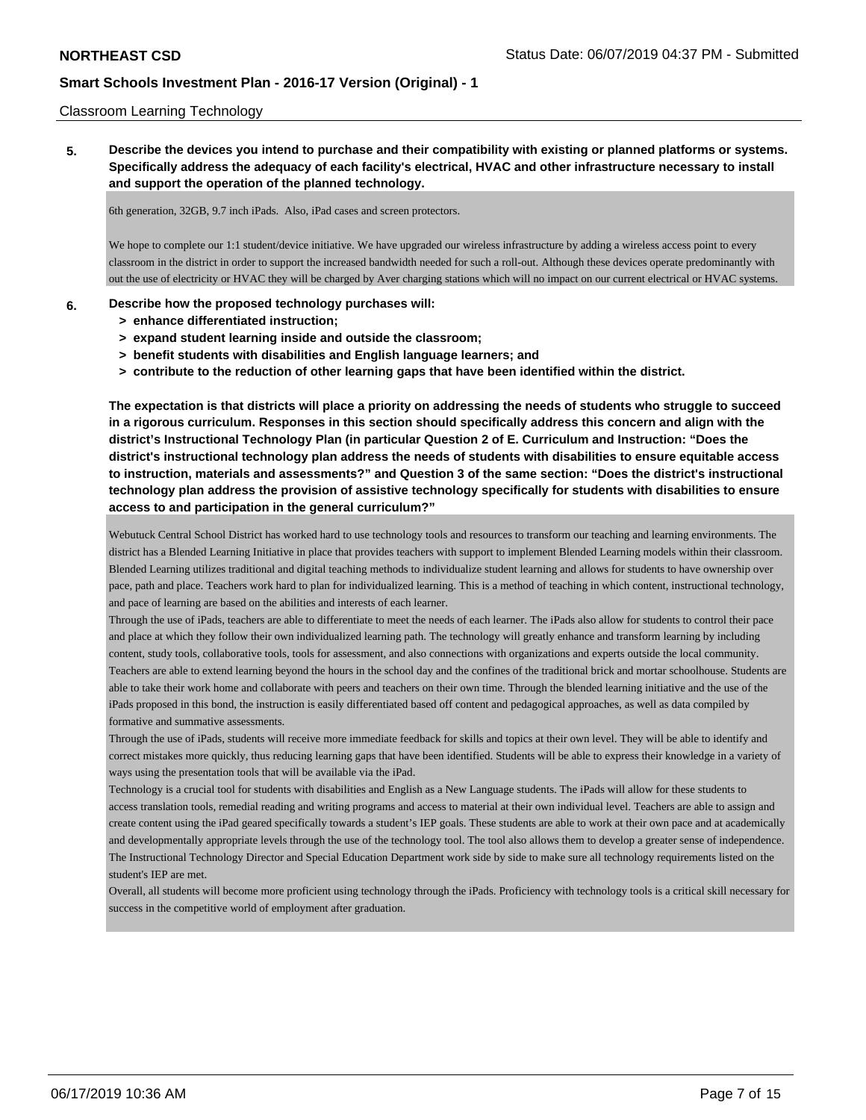#### Classroom Learning Technology

**5. Describe the devices you intend to purchase and their compatibility with existing or planned platforms or systems. Specifically address the adequacy of each facility's electrical, HVAC and other infrastructure necessary to install and support the operation of the planned technology.**

6th generation, 32GB, 9.7 inch iPads. Also, iPad cases and screen protectors.

We hope to complete our 1:1 student/device initiative. We have upgraded our wireless infrastructure by adding a wireless access point to every classroom in the district in order to support the increased bandwidth needed for such a roll-out. Although these devices operate predominantly with out the use of electricity or HVAC they will be charged by Aver charging stations which will no impact on our current electrical or HVAC systems.

#### **6. Describe how the proposed technology purchases will:**

- **> enhance differentiated instruction;**
- **> expand student learning inside and outside the classroom;**
- **> benefit students with disabilities and English language learners; and**
- **> contribute to the reduction of other learning gaps that have been identified within the district.**

**The expectation is that districts will place a priority on addressing the needs of students who struggle to succeed in a rigorous curriculum. Responses in this section should specifically address this concern and align with the district's Instructional Technology Plan (in particular Question 2 of E. Curriculum and Instruction: "Does the district's instructional technology plan address the needs of students with disabilities to ensure equitable access to instruction, materials and assessments?" and Question 3 of the same section: "Does the district's instructional technology plan address the provision of assistive technology specifically for students with disabilities to ensure access to and participation in the general curriculum?"**

Webutuck Central School District has worked hard to use technology tools and resources to transform our teaching and learning environments. The district has a Blended Learning Initiative in place that provides teachers with support to implement Blended Learning models within their classroom. Blended Learning utilizes traditional and digital teaching methods to individualize student learning and allows for students to have ownership over pace, path and place. Teachers work hard to plan for individualized learning. This is a method of teaching in which content, instructional technology, and pace of learning are based on the abilities and interests of each learner.

Through the use of iPads, teachers are able to differentiate to meet the needs of each learner. The iPads also allow for students to control their pace and place at which they follow their own individualized learning path. The technology will greatly enhance and transform learning by including content, study tools, collaborative tools, tools for assessment, and also connections with organizations and experts outside the local community. Teachers are able to extend learning beyond the hours in the school day and the confines of the traditional brick and mortar schoolhouse. Students are able to take their work home and collaborate with peers and teachers on their own time. Through the blended learning initiative and the use of the iPads proposed in this bond, the instruction is easily differentiated based off content and pedagogical approaches, as well as data compiled by formative and summative assessments.

Through the use of iPads, students will receive more immediate feedback for skills and topics at their own level. They will be able to identify and correct mistakes more quickly, thus reducing learning gaps that have been identified. Students will be able to express their knowledge in a variety of ways using the presentation tools that will be available via the iPad.

Technology is a crucial tool for students with disabilities and English as a New Language students. The iPads will allow for these students to access translation tools, remedial reading and writing programs and access to material at their own individual level. Teachers are able to assign and create content using the iPad geared specifically towards a student's IEP goals. These students are able to work at their own pace and at academically and developmentally appropriate levels through the use of the technology tool. The tool also allows them to develop a greater sense of independence. The Instructional Technology Director and Special Education Department work side by side to make sure all technology requirements listed on the student's IEP are met.

Overall, all students will become more proficient using technology through the iPads. Proficiency with technology tools is a critical skill necessary for success in the competitive world of employment after graduation.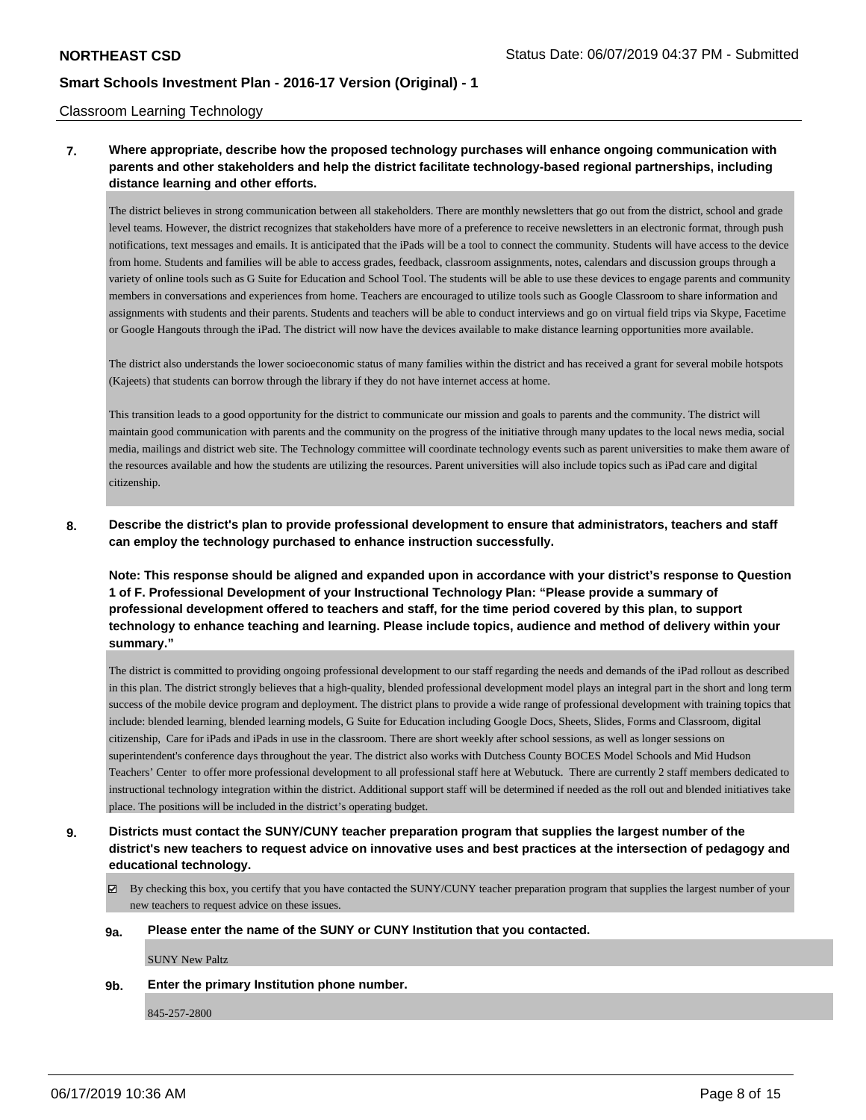#### Classroom Learning Technology

# **7. Where appropriate, describe how the proposed technology purchases will enhance ongoing communication with parents and other stakeholders and help the district facilitate technology-based regional partnerships, including distance learning and other efforts.**

The district believes in strong communication between all stakeholders. There are monthly newsletters that go out from the district, school and grade level teams. However, the district recognizes that stakeholders have more of a preference to receive newsletters in an electronic format, through push notifications, text messages and emails. It is anticipated that the iPads will be a tool to connect the community. Students will have access to the device from home. Students and families will be able to access grades, feedback, classroom assignments, notes, calendars and discussion groups through a variety of online tools such as G Suite for Education and School Tool. The students will be able to use these devices to engage parents and community members in conversations and experiences from home. Teachers are encouraged to utilize tools such as Google Classroom to share information and assignments with students and their parents. Students and teachers will be able to conduct interviews and go on virtual field trips via Skype, Facetime or Google Hangouts through the iPad. The district will now have the devices available to make distance learning opportunities more available.

The district also understands the lower socioeconomic status of many families within the district and has received a grant for several mobile hotspots (Kajeets) that students can borrow through the library if they do not have internet access at home.

This transition leads to a good opportunity for the district to communicate our mission and goals to parents and the community. The district will maintain good communication with parents and the community on the progress of the initiative through many updates to the local news media, social media, mailings and district web site. The Technology committee will coordinate technology events such as parent universities to make them aware of the resources available and how the students are utilizing the resources. Parent universities will also include topics such as iPad care and digital citizenship.

**8. Describe the district's plan to provide professional development to ensure that administrators, teachers and staff can employ the technology purchased to enhance instruction successfully.**

**Note: This response should be aligned and expanded upon in accordance with your district's response to Question 1 of F. Professional Development of your Instructional Technology Plan: "Please provide a summary of professional development offered to teachers and staff, for the time period covered by this plan, to support technology to enhance teaching and learning. Please include topics, audience and method of delivery within your summary."**

The district is committed to providing ongoing professional development to our staff regarding the needs and demands of the iPad rollout as described in this plan. The district strongly believes that a high-quality, blended professional development model plays an integral part in the short and long term success of the mobile device program and deployment. The district plans to provide a wide range of professional development with training topics that include: blended learning, blended learning models, G Suite for Education including Google Docs, Sheets, Slides, Forms and Classroom, digital citizenship, Care for iPads and iPads in use in the classroom. There are short weekly after school sessions, as well as longer sessions on superintendent's conference days throughout the year. The district also works with Dutchess County BOCES Model Schools and Mid Hudson Teachers' Center to offer more professional development to all professional staff here at Webutuck. There are currently 2 staff members dedicated to instructional technology integration within the district. Additional support staff will be determined if needed as the roll out and blended initiatives take place. The positions will be included in the district's operating budget.

# **9. Districts must contact the SUNY/CUNY teacher preparation program that supplies the largest number of the district's new teachers to request advice on innovative uses and best practices at the intersection of pedagogy and educational technology.**

 $\boxtimes$  By checking this box, you certify that you have contacted the SUNY/CUNY teacher preparation program that supplies the largest number of your new teachers to request advice on these issues.

#### **9a. Please enter the name of the SUNY or CUNY Institution that you contacted.**

SUNY New Paltz

**9b. Enter the primary Institution phone number.**

845-257-2800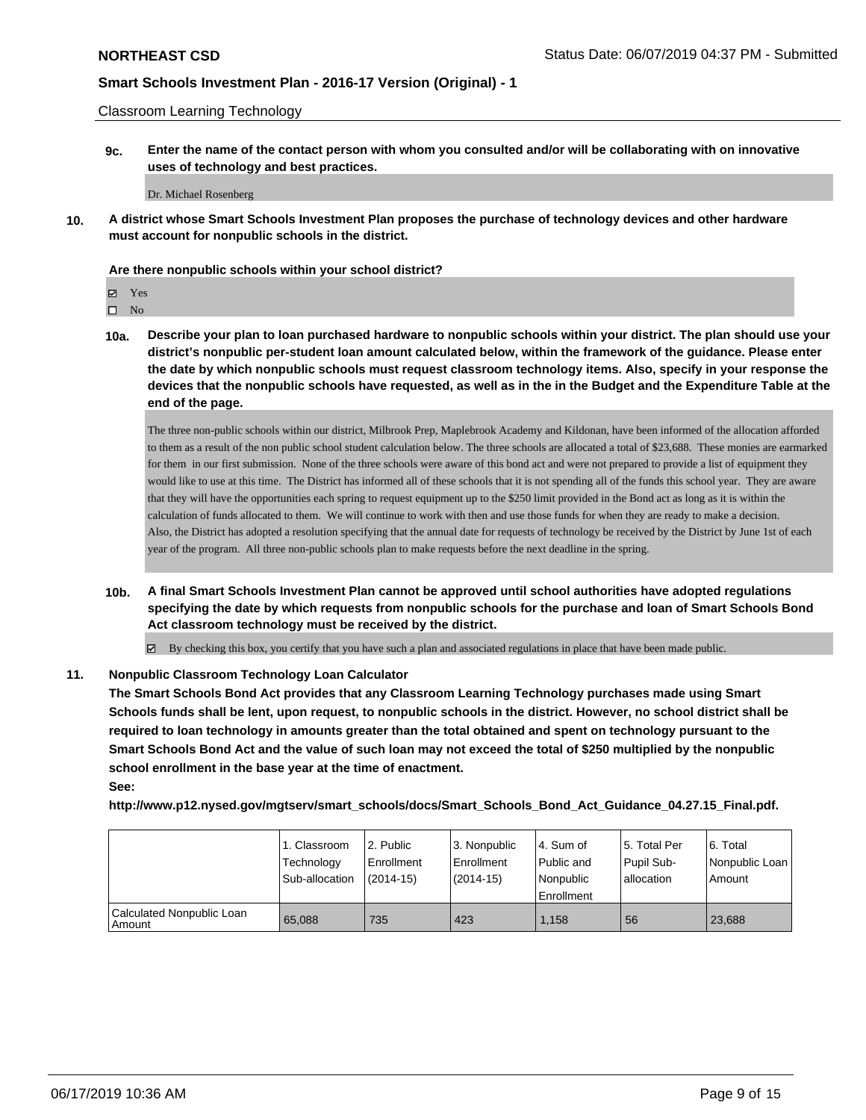Classroom Learning Technology

**9c. Enter the name of the contact person with whom you consulted and/or will be collaborating with on innovative uses of technology and best practices.**

Dr. Michael Rosenberg

**10. A district whose Smart Schools Investment Plan proposes the purchase of technology devices and other hardware must account for nonpublic schools in the district.**

#### **Are there nonpublic schools within your school district?**

Yes

 $\square$  No

**10a. Describe your plan to loan purchased hardware to nonpublic schools within your district. The plan should use your district's nonpublic per-student loan amount calculated below, within the framework of the guidance. Please enter the date by which nonpublic schools must request classroom technology items. Also, specify in your response the devices that the nonpublic schools have requested, as well as in the in the Budget and the Expenditure Table at the end of the page.**

The three non-public schools within our district, Milbrook Prep, Maplebrook Academy and Kildonan, have been informed of the allocation afforded to them as a result of the non public school student calculation below. The three schools are allocated a total of \$23,688. These monies are earmarked for them in our first submission. None of the three schools were aware of this bond act and were not prepared to provide a list of equipment they would like to use at this time. The District has informed all of these schools that it is not spending all of the funds this school year. They are aware that they will have the opportunities each spring to request equipment up to the \$250 limit provided in the Bond act as long as it is within the calculation of funds allocated to them. We will continue to work with then and use those funds for when they are ready to make a decision. Also, the District has adopted a resolution specifying that the annual date for requests of technology be received by the District by June 1st of each year of the program. All three non-public schools plan to make requests before the next deadline in the spring.

- **10b. A final Smart Schools Investment Plan cannot be approved until school authorities have adopted regulations specifying the date by which requests from nonpublic schools for the purchase and loan of Smart Schools Bond Act classroom technology must be received by the district.**
	- By checking this box, you certify that you have such a plan and associated regulations in place that have been made public.

### **11. Nonpublic Classroom Technology Loan Calculator**

**The Smart Schools Bond Act provides that any Classroom Learning Technology purchases made using Smart Schools funds shall be lent, upon request, to nonpublic schools in the district. However, no school district shall be required to loan technology in amounts greater than the total obtained and spent on technology pursuant to the Smart Schools Bond Act and the value of such loan may not exceed the total of \$250 multiplied by the nonpublic school enrollment in the base year at the time of enactment.**

**See:**

**http://www.p12.nysed.gov/mgtserv/smart\_schools/docs/Smart\_Schools\_Bond\_Act\_Guidance\_04.27.15\_Final.pdf.**

|                                       | 1. Classroom   | l 2. Public   | l 3. Nonpublic | l 4. Sum of | 15. Total Per | l 6. Total     |
|---------------------------------------|----------------|---------------|----------------|-------------|---------------|----------------|
|                                       | Technology     | l Enrollment  | Enrollment     | Public and  | Pupil Sub-    | Nonpublic Loan |
|                                       | Sub-allocation | $(2014 - 15)$ | $(2014-15)$    | l Nonpublic | allocation    | Amount         |
|                                       |                |               |                | Enrollment  |               |                |
| Calculated Nonpublic Loan<br>l Amount | 65.088         | 735           | 423            | 1.158       | 56            | 23,688         |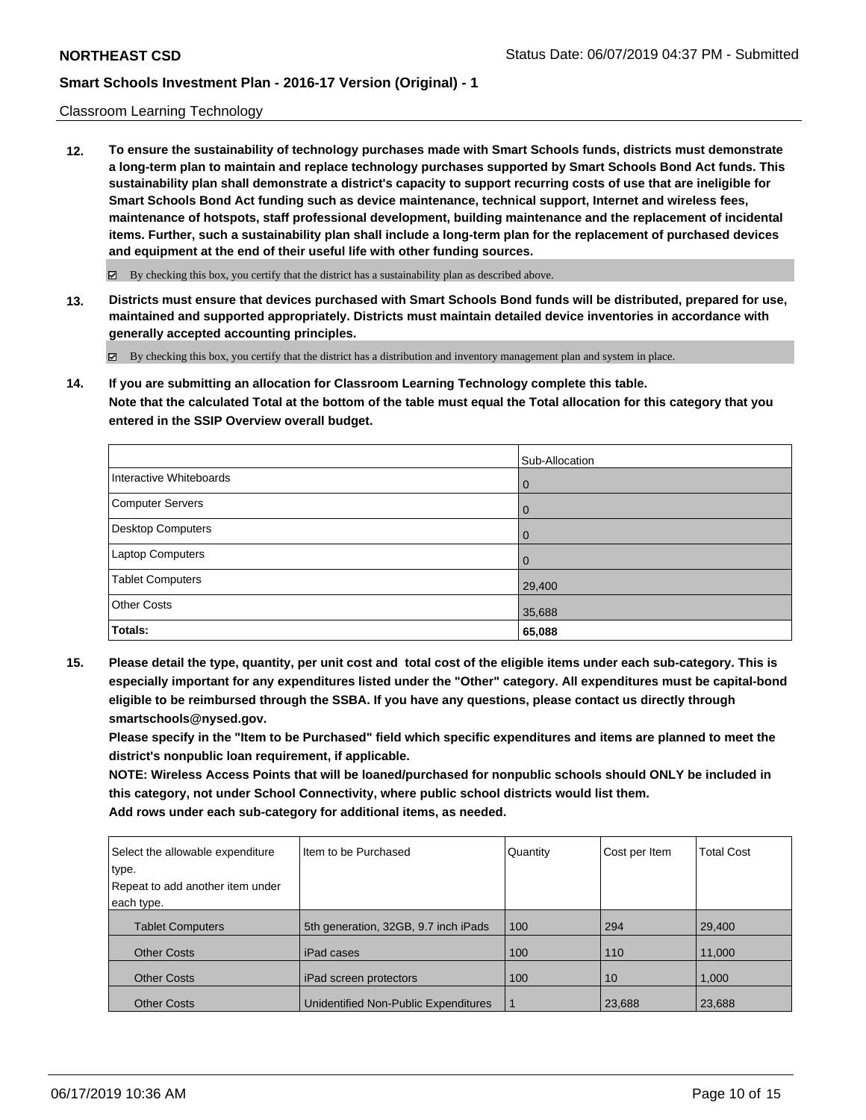#### Classroom Learning Technology

**12. To ensure the sustainability of technology purchases made with Smart Schools funds, districts must demonstrate a long-term plan to maintain and replace technology purchases supported by Smart Schools Bond Act funds. This sustainability plan shall demonstrate a district's capacity to support recurring costs of use that are ineligible for Smart Schools Bond Act funding such as device maintenance, technical support, Internet and wireless fees, maintenance of hotspots, staff professional development, building maintenance and the replacement of incidental items. Further, such a sustainability plan shall include a long-term plan for the replacement of purchased devices and equipment at the end of their useful life with other funding sources.**

 $\boxtimes$  By checking this box, you certify that the district has a sustainability plan as described above.

**13. Districts must ensure that devices purchased with Smart Schools Bond funds will be distributed, prepared for use, maintained and supported appropriately. Districts must maintain detailed device inventories in accordance with generally accepted accounting principles.**

By checking this box, you certify that the district has a distribution and inventory management plan and system in place.

**14. If you are submitting an allocation for Classroom Learning Technology complete this table. Note that the calculated Total at the bottom of the table must equal the Total allocation for this category that you entered in the SSIP Overview overall budget.**

|                         | Sub-Allocation |
|-------------------------|----------------|
| Interactive Whiteboards | $\overline{0}$ |
| Computer Servers        | $\overline{0}$ |
| Desktop Computers       | $\overline{0}$ |
| Laptop Computers        | $\Omega$       |
| <b>Tablet Computers</b> | 29,400         |
| <b>Other Costs</b>      | 35,688         |
| Totals:                 | 65,088         |

**15. Please detail the type, quantity, per unit cost and total cost of the eligible items under each sub-category. This is especially important for any expenditures listed under the "Other" category. All expenditures must be capital-bond eligible to be reimbursed through the SSBA. If you have any questions, please contact us directly through smartschools@nysed.gov.**

**Please specify in the "Item to be Purchased" field which specific expenditures and items are planned to meet the district's nonpublic loan requirement, if applicable.**

**NOTE: Wireless Access Points that will be loaned/purchased for nonpublic schools should ONLY be included in this category, not under School Connectivity, where public school districts would list them. Add rows under each sub-category for additional items, as needed.**

| Select the allowable expenditure | Item to be Purchased                 | Quantity | Cost per Item | <b>Total Cost</b> |
|----------------------------------|--------------------------------------|----------|---------------|-------------------|
| type.                            |                                      |          |               |                   |
| Repeat to add another item under |                                      |          |               |                   |
| each type.                       |                                      |          |               |                   |
| <b>Tablet Computers</b>          | 5th generation, 32GB, 9.7 inch iPads | 100      | 294           | 29,400            |
| <b>Other Costs</b>               | iPad cases                           | 100      | 110           | 11,000            |
| <b>Other Costs</b>               | iPad screen protectors               | 100      | 10            | 1,000             |
| <b>Other Costs</b>               | Unidentified Non-Public Expenditures |          | 23,688        | 23,688            |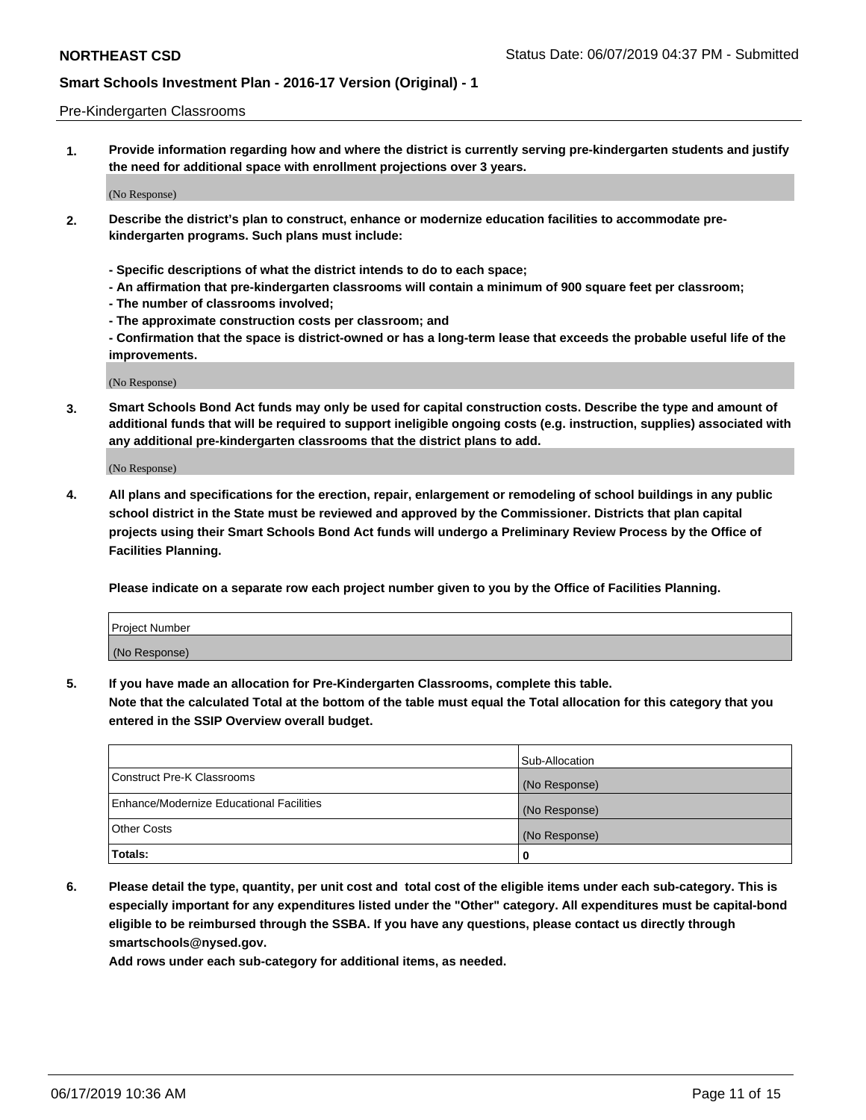#### Pre-Kindergarten Classrooms

**1. Provide information regarding how and where the district is currently serving pre-kindergarten students and justify the need for additional space with enrollment projections over 3 years.**

(No Response)

- **2. Describe the district's plan to construct, enhance or modernize education facilities to accommodate prekindergarten programs. Such plans must include:**
	- **Specific descriptions of what the district intends to do to each space;**
	- **An affirmation that pre-kindergarten classrooms will contain a minimum of 900 square feet per classroom;**
	- **The number of classrooms involved;**
	- **The approximate construction costs per classroom; and**
	- **Confirmation that the space is district-owned or has a long-term lease that exceeds the probable useful life of the improvements.**

(No Response)

**3. Smart Schools Bond Act funds may only be used for capital construction costs. Describe the type and amount of additional funds that will be required to support ineligible ongoing costs (e.g. instruction, supplies) associated with any additional pre-kindergarten classrooms that the district plans to add.**

(No Response)

**4. All plans and specifications for the erection, repair, enlargement or remodeling of school buildings in any public school district in the State must be reviewed and approved by the Commissioner. Districts that plan capital projects using their Smart Schools Bond Act funds will undergo a Preliminary Review Process by the Office of Facilities Planning.**

**Please indicate on a separate row each project number given to you by the Office of Facilities Planning.**

| Project Number |  |
|----------------|--|
| (No Response)  |  |
|                |  |

**5. If you have made an allocation for Pre-Kindergarten Classrooms, complete this table.**

**Note that the calculated Total at the bottom of the table must equal the Total allocation for this category that you entered in the SSIP Overview overall budget.**

|                                          | Sub-Allocation |
|------------------------------------------|----------------|
| Construct Pre-K Classrooms               | (No Response)  |
| Enhance/Modernize Educational Facilities | (No Response)  |
| <b>Other Costs</b>                       | (No Response)  |
| Totals:                                  | 0              |

**6. Please detail the type, quantity, per unit cost and total cost of the eligible items under each sub-category. This is especially important for any expenditures listed under the "Other" category. All expenditures must be capital-bond eligible to be reimbursed through the SSBA. If you have any questions, please contact us directly through smartschools@nysed.gov.**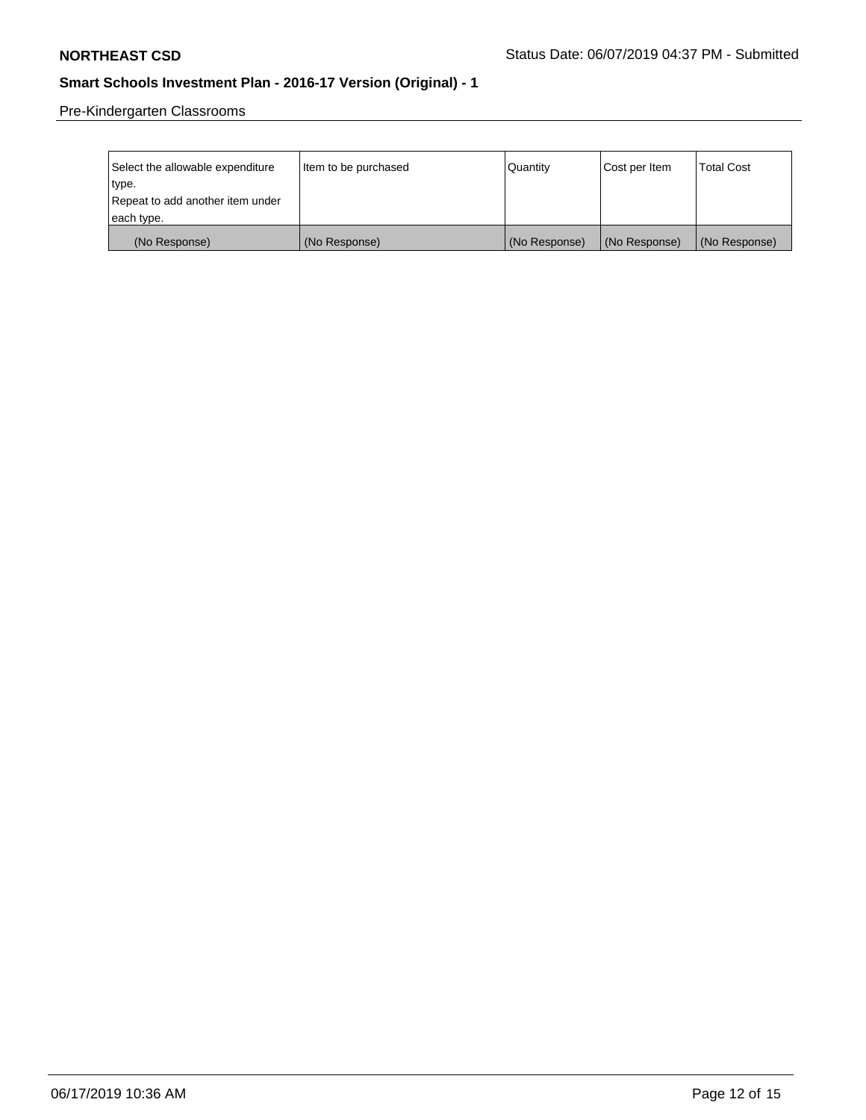Pre-Kindergarten Classrooms

| Select the allowable expenditure<br>type. | Item to be purchased | Quantity      | Cost per Item | <b>Total Cost</b> |
|-------------------------------------------|----------------------|---------------|---------------|-------------------|
| Repeat to add another item under          |                      |               |               |                   |
| each type.                                |                      |               |               |                   |
| (No Response)                             | (No Response)        | (No Response) | (No Response) | (No Response)     |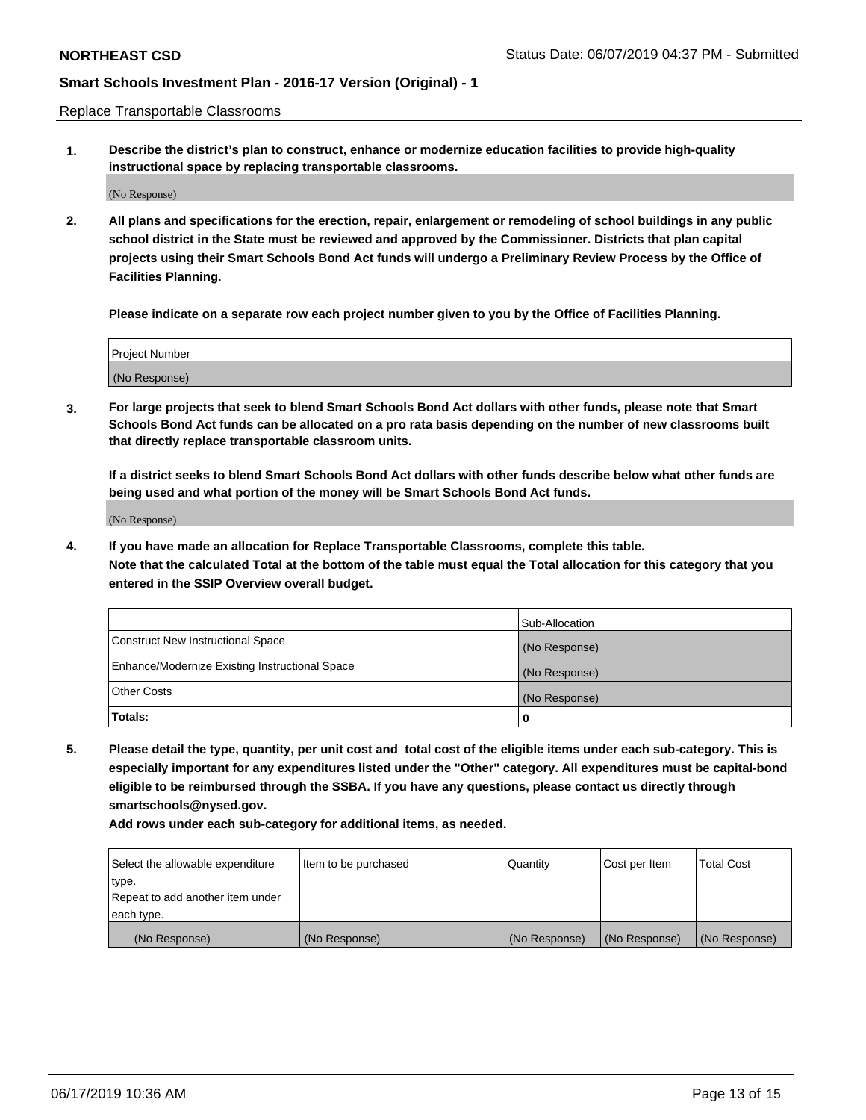Replace Transportable Classrooms

**1. Describe the district's plan to construct, enhance or modernize education facilities to provide high-quality instructional space by replacing transportable classrooms.**

(No Response)

**2. All plans and specifications for the erection, repair, enlargement or remodeling of school buildings in any public school district in the State must be reviewed and approved by the Commissioner. Districts that plan capital projects using their Smart Schools Bond Act funds will undergo a Preliminary Review Process by the Office of Facilities Planning.**

**Please indicate on a separate row each project number given to you by the Office of Facilities Planning.**

| Project Number |  |
|----------------|--|
|                |  |
|                |  |
|                |  |
|                |  |
| (No Response)  |  |
|                |  |
|                |  |
|                |  |

**3. For large projects that seek to blend Smart Schools Bond Act dollars with other funds, please note that Smart Schools Bond Act funds can be allocated on a pro rata basis depending on the number of new classrooms built that directly replace transportable classroom units.**

**If a district seeks to blend Smart Schools Bond Act dollars with other funds describe below what other funds are being used and what portion of the money will be Smart Schools Bond Act funds.**

(No Response)

**4. If you have made an allocation for Replace Transportable Classrooms, complete this table. Note that the calculated Total at the bottom of the table must equal the Total allocation for this category that you entered in the SSIP Overview overall budget.**

|                                                | Sub-Allocation |
|------------------------------------------------|----------------|
| Construct New Instructional Space              | (No Response)  |
| Enhance/Modernize Existing Instructional Space | (No Response)  |
| <b>Other Costs</b>                             | (No Response)  |
| Totals:                                        | 0              |

**5. Please detail the type, quantity, per unit cost and total cost of the eligible items under each sub-category. This is especially important for any expenditures listed under the "Other" category. All expenditures must be capital-bond eligible to be reimbursed through the SSBA. If you have any questions, please contact us directly through smartschools@nysed.gov.**

| Select the allowable expenditure | Item to be purchased | l Quantitv    | Cost per Item | <b>Total Cost</b> |
|----------------------------------|----------------------|---------------|---------------|-------------------|
| type.                            |                      |               |               |                   |
| Repeat to add another item under |                      |               |               |                   |
| each type.                       |                      |               |               |                   |
| (No Response)                    | (No Response)        | (No Response) | (No Response) | (No Response)     |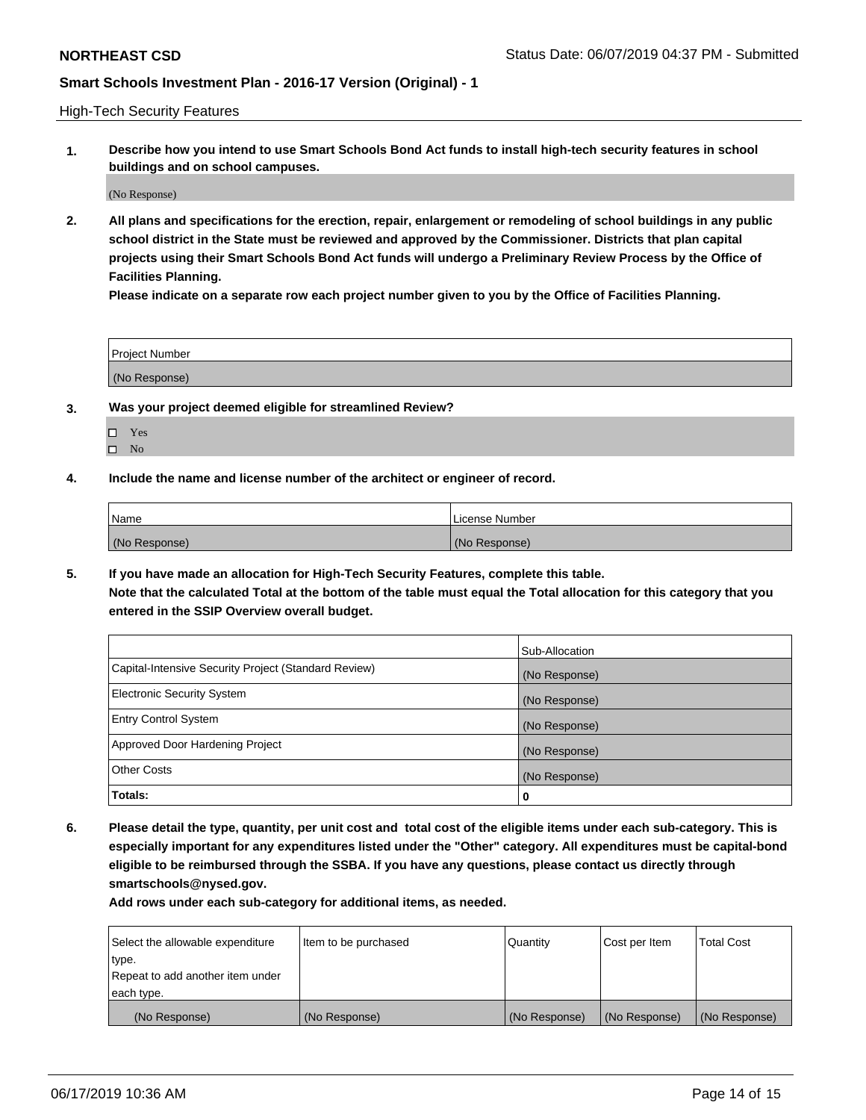High-Tech Security Features

**1. Describe how you intend to use Smart Schools Bond Act funds to install high-tech security features in school buildings and on school campuses.**

(No Response)

**2. All plans and specifications for the erection, repair, enlargement or remodeling of school buildings in any public school district in the State must be reviewed and approved by the Commissioner. Districts that plan capital projects using their Smart Schools Bond Act funds will undergo a Preliminary Review Process by the Office of Facilities Planning.** 

**Please indicate on a separate row each project number given to you by the Office of Facilities Planning.**

| <b>Project Number</b> |  |
|-----------------------|--|
| (No Response)         |  |

- **3. Was your project deemed eligible for streamlined Review?**
	- Yes
	- $\square$  No
- **4. Include the name and license number of the architect or engineer of record.**

| <b>Name</b>   | License Number |
|---------------|----------------|
| (No Response) | (No Response)  |

**5. If you have made an allocation for High-Tech Security Features, complete this table.**

**Note that the calculated Total at the bottom of the table must equal the Total allocation for this category that you entered in the SSIP Overview overall budget.**

|                                                      | Sub-Allocation |
|------------------------------------------------------|----------------|
| Capital-Intensive Security Project (Standard Review) | (No Response)  |
| <b>Electronic Security System</b>                    | (No Response)  |
| <b>Entry Control System</b>                          | (No Response)  |
| Approved Door Hardening Project                      | (No Response)  |
| <b>Other Costs</b>                                   | (No Response)  |
| Totals:                                              | 0              |

**6. Please detail the type, quantity, per unit cost and total cost of the eligible items under each sub-category. This is especially important for any expenditures listed under the "Other" category. All expenditures must be capital-bond eligible to be reimbursed through the SSBA. If you have any questions, please contact us directly through smartschools@nysed.gov.**

| Select the allowable expenditure | Item to be purchased | l Quantitv    | Cost per Item | <b>Total Cost</b> |
|----------------------------------|----------------------|---------------|---------------|-------------------|
| type.                            |                      |               |               |                   |
| Repeat to add another item under |                      |               |               |                   |
| each type.                       |                      |               |               |                   |
| (No Response)                    | (No Response)        | (No Response) | (No Response) | (No Response)     |